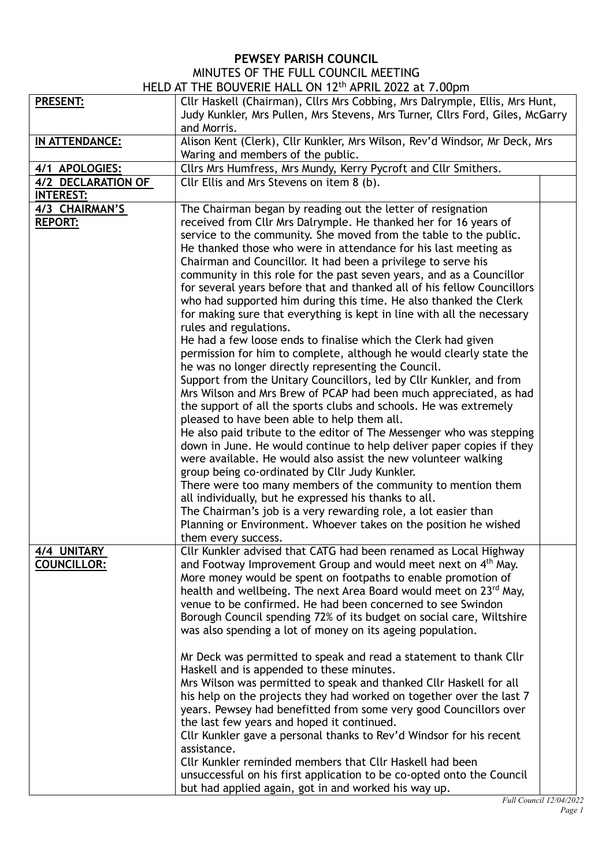## **PEWSEY PARISH COUNCIL** MINUTES OF THE FULL COUNCIL MEETING

| HELD AT THE BOUVERIE HALL ON 12 <sup>th</sup> APRIL 2022 at 7.00pm |                                                                               |  |  |  |
|--------------------------------------------------------------------|-------------------------------------------------------------------------------|--|--|--|
| <b>PRESENT:</b>                                                    | Cllr Haskell (Chairman), Cllrs Mrs Cobbing, Mrs Dalrymple, Ellis, Mrs Hunt,   |  |  |  |
|                                                                    | Judy Kunkler, Mrs Pullen, Mrs Stevens, Mrs Turner, Cllrs Ford, Giles, McGarry |  |  |  |
|                                                                    | and Morris.                                                                   |  |  |  |
| IN ATTENDANCE:                                                     | Alison Kent (Clerk), Cllr Kunkler, Mrs Wilson, Rev'd Windsor, Mr Deck, Mrs    |  |  |  |
|                                                                    | Waring and members of the public.                                             |  |  |  |
| 4/1 APOLOGIES:                                                     | Cllrs Mrs Humfress, Mrs Mundy, Kerry Pycroft and Cllr Smithers.               |  |  |  |
| 4/2 DECLARATION OF                                                 | Cllr Ellis and Mrs Stevens on item 8 (b).                                     |  |  |  |
| <b>INTEREST:</b>                                                   |                                                                               |  |  |  |
|                                                                    |                                                                               |  |  |  |
| 4/3 CHAIRMAN'S                                                     | The Chairman began by reading out the letter of resignation                   |  |  |  |
| <b>REPORT:</b>                                                     | received from Cllr Mrs Dalrymple. He thanked her for 16 years of              |  |  |  |
|                                                                    | service to the community. She moved from the table to the public.             |  |  |  |
|                                                                    | He thanked those who were in attendance for his last meeting as               |  |  |  |
|                                                                    | Chairman and Councillor. It had been a privilege to serve his                 |  |  |  |
|                                                                    | community in this role for the past seven years, and as a Councillor          |  |  |  |
|                                                                    | for several years before that and thanked all of his fellow Councillors       |  |  |  |
|                                                                    | who had supported him during this time. He also thanked the Clerk             |  |  |  |
|                                                                    | for making sure that everything is kept in line with all the necessary        |  |  |  |
|                                                                    | rules and regulations.                                                        |  |  |  |
|                                                                    | He had a few loose ends to finalise which the Clerk had given                 |  |  |  |
|                                                                    | permission for him to complete, although he would clearly state the           |  |  |  |
|                                                                    | he was no longer directly representing the Council.                           |  |  |  |
|                                                                    | Support from the Unitary Councillors, led by Cllr Kunkler, and from           |  |  |  |
|                                                                    | Mrs Wilson and Mrs Brew of PCAP had been much appreciated, as had             |  |  |  |
|                                                                    | the support of all the sports clubs and schools. He was extremely             |  |  |  |
|                                                                    | pleased to have been able to help them all.                                   |  |  |  |
|                                                                    | He also paid tribute to the editor of The Messenger who was stepping          |  |  |  |
|                                                                    | down in June. He would continue to help deliver paper copies if they          |  |  |  |
|                                                                    | were available. He would also assist the new volunteer walking                |  |  |  |
|                                                                    | group being co-ordinated by Cllr Judy Kunkler.                                |  |  |  |
|                                                                    | There were too many members of the community to mention them                  |  |  |  |
|                                                                    | all individually, but he expressed his thanks to all.                         |  |  |  |
|                                                                    | The Chairman's job is a very rewarding role, a lot easier than                |  |  |  |
|                                                                    | Planning or Environment. Whoever takes on the position he wished              |  |  |  |
|                                                                    | them every success.                                                           |  |  |  |
| 4/4 UNITARY                                                        | Cllr Kunkler advised that CATG had been renamed as Local Highway              |  |  |  |
| COUNCILLOR:                                                        | and Footway Improvement Group and would meet next on 4 <sup>th</sup> May.     |  |  |  |
|                                                                    | More money would be spent on footpaths to enable promotion of                 |  |  |  |
|                                                                    | health and wellbeing. The next Area Board would meet on 23 <sup>rd</sup> May, |  |  |  |
|                                                                    | venue to be confirmed. He had been concerned to see Swindon                   |  |  |  |
|                                                                    | Borough Council spending 72% of its budget on social care, Wiltshire          |  |  |  |
|                                                                    | was also spending a lot of money on its ageing population.                    |  |  |  |
|                                                                    |                                                                               |  |  |  |
|                                                                    | Mr Deck was permitted to speak and read a statement to thank Cllr             |  |  |  |
|                                                                    | Haskell and is appended to these minutes.                                     |  |  |  |
|                                                                    | Mrs Wilson was permitted to speak and thanked Cllr Haskell for all            |  |  |  |
|                                                                    | his help on the projects they had worked on together over the last 7          |  |  |  |
|                                                                    | years. Pewsey had benefitted from some very good Councillors over             |  |  |  |
|                                                                    | the last few years and hoped it continued.                                    |  |  |  |
|                                                                    | Cllr Kunkler gave a personal thanks to Rev'd Windsor for his recent           |  |  |  |
|                                                                    | assistance.                                                                   |  |  |  |
|                                                                    | Cllr Kunkler reminded members that Cllr Haskell had been                      |  |  |  |
|                                                                    | unsuccessful on his first application to be co-opted onto the Council         |  |  |  |
|                                                                    | but had applied again, got in and worked his way up.                          |  |  |  |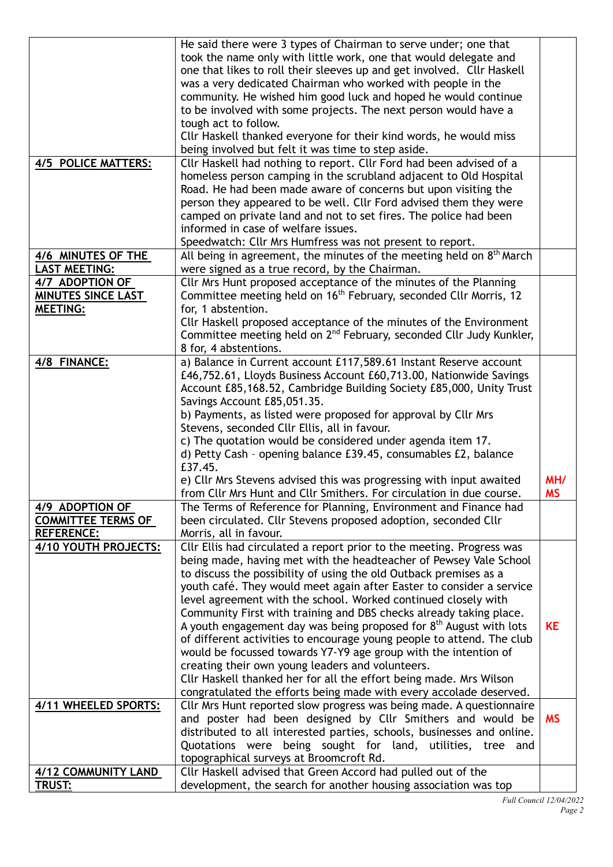|                                              | He said there were 3 types of Chairman to serve under; one that<br>took the name only with little work, one that would delegate and<br>one that likes to roll their sleeves up and get involved. Cllr Haskell                                                                                                                                                                                                                                          |           |
|----------------------------------------------|--------------------------------------------------------------------------------------------------------------------------------------------------------------------------------------------------------------------------------------------------------------------------------------------------------------------------------------------------------------------------------------------------------------------------------------------------------|-----------|
|                                              | was a very dedicated Chairman who worked with people in the<br>community. He wished him good luck and hoped he would continue                                                                                                                                                                                                                                                                                                                          |           |
|                                              | to be involved with some projects. The next person would have a<br>tough act to follow.<br>Cllr Haskell thanked everyone for their kind words, he would miss                                                                                                                                                                                                                                                                                           |           |
|                                              | being involved but felt it was time to step aside.                                                                                                                                                                                                                                                                                                                                                                                                     |           |
| 4/5 POLICE MATTERS:                          | Cllr Haskell had nothing to report. Cllr Ford had been advised of a<br>homeless person camping in the scrubland adjacent to Old Hospital<br>Road. He had been made aware of concerns but upon visiting the<br>person they appeared to be well. Cllr Ford advised them they were<br>camped on private land and not to set fires. The police had been<br>informed in case of welfare issues.<br>Speedwatch: Cllr Mrs Humfress was not present to report. |           |
| 4/6 MINUTES OF THE                           | All being in agreement, the minutes of the meeting held on 8 <sup>th</sup> March                                                                                                                                                                                                                                                                                                                                                                       |           |
| <b>LAST MEETING:</b>                         | were signed as a true record, by the Chairman.                                                                                                                                                                                                                                                                                                                                                                                                         |           |
| 4/7 ADOPTION OF<br><b>MINUTES SINCE LAST</b> | Cllr Mrs Hunt proposed acceptance of the minutes of the Planning<br>Committee meeting held on 16 <sup>th</sup> February, seconded Cllr Morris, 12                                                                                                                                                                                                                                                                                                      |           |
| <b>MEETING:</b>                              | for, 1 abstention.                                                                                                                                                                                                                                                                                                                                                                                                                                     |           |
|                                              | Cllr Haskell proposed acceptance of the minutes of the Environment<br>Committee meeting held on 2 <sup>nd</sup> February, seconded Cllr Judy Kunkler,<br>8 for, 4 abstentions.                                                                                                                                                                                                                                                                         |           |
| 4/8 FINANCE:                                 | a) Balance in Current account £117,589.61 Instant Reserve account<br>£46,752.61, Lloyds Business Account £60,713.00, Nationwide Savings<br>Account £85,168.52, Cambridge Building Society £85,000, Unity Trust<br>Savings Account £85,051.35.                                                                                                                                                                                                          |           |
|                                              | b) Payments, as listed were proposed for approval by Cllr Mrs                                                                                                                                                                                                                                                                                                                                                                                          |           |
|                                              | Stevens, seconded Cllr Ellis, all in favour.                                                                                                                                                                                                                                                                                                                                                                                                           |           |
|                                              | c) The quotation would be considered under agenda item 17.<br>d) Petty Cash - opening balance £39.45, consumables £2, balance                                                                                                                                                                                                                                                                                                                          |           |
|                                              | £37.45.                                                                                                                                                                                                                                                                                                                                                                                                                                                |           |
|                                              | e) Cllr Mrs Stevens advised this was progressing with input awaited                                                                                                                                                                                                                                                                                                                                                                                    | MH/       |
| 4/9 ADOPTION OF                              | from Cllr Mrs Hunt and Cllr Smithers. For circulation in due course.<br>The Terms of Reference for Planning, Environment and Finance had                                                                                                                                                                                                                                                                                                               | <b>MS</b> |
| <b>COMMITTEE TERMS OF</b>                    | been circulated. Cllr Stevens proposed adoption, seconded Cllr                                                                                                                                                                                                                                                                                                                                                                                         |           |
| <b>REFERENCE:</b>                            | Morris, all in favour.                                                                                                                                                                                                                                                                                                                                                                                                                                 |           |
| 4/10 YOUTH PROJECTS:                         | Cllr Ellis had circulated a report prior to the meeting. Progress was<br>being made, having met with the headteacher of Pewsey Vale School                                                                                                                                                                                                                                                                                                             |           |
|                                              | to discuss the possibility of using the old Outback premises as a<br>youth café. They would meet again after Easter to consider a service                                                                                                                                                                                                                                                                                                              |           |
|                                              | level agreement with the school. Worked continued closely with                                                                                                                                                                                                                                                                                                                                                                                         |           |
|                                              | Community First with training and DBS checks already taking place.                                                                                                                                                                                                                                                                                                                                                                                     |           |
|                                              | A youth engagement day was being proposed for $8th$ August with lots<br>of different activities to encourage young people to attend. The club                                                                                                                                                                                                                                                                                                          | <b>KE</b> |
|                                              | would be focussed towards Y7-Y9 age group with the intention of                                                                                                                                                                                                                                                                                                                                                                                        |           |
|                                              | creating their own young leaders and volunteers.                                                                                                                                                                                                                                                                                                                                                                                                       |           |
|                                              | Cllr Haskell thanked her for all the effort being made. Mrs Wilson<br>congratulated the efforts being made with every accolade deserved.                                                                                                                                                                                                                                                                                                               |           |
| 4/11 WHEELED SPORTS:                         | Cllr Mrs Hunt reported slow progress was being made. A questionnaire                                                                                                                                                                                                                                                                                                                                                                                   |           |
|                                              | and poster had been designed by Cllr Smithers and would be                                                                                                                                                                                                                                                                                                                                                                                             | <b>MS</b> |
|                                              | distributed to all interested parties, schools, businesses and online.                                                                                                                                                                                                                                                                                                                                                                                 |           |
|                                              | Quotations were being sought for land, utilities, tree and<br>topographical surveys at Broomcroft Rd.                                                                                                                                                                                                                                                                                                                                                  |           |
| 4/12 COMMUNITY LAND                          | Cllr Haskell advised that Green Accord had pulled out of the                                                                                                                                                                                                                                                                                                                                                                                           |           |
| <b>TRUST:</b>                                | development, the search for another housing association was top                                                                                                                                                                                                                                                                                                                                                                                        |           |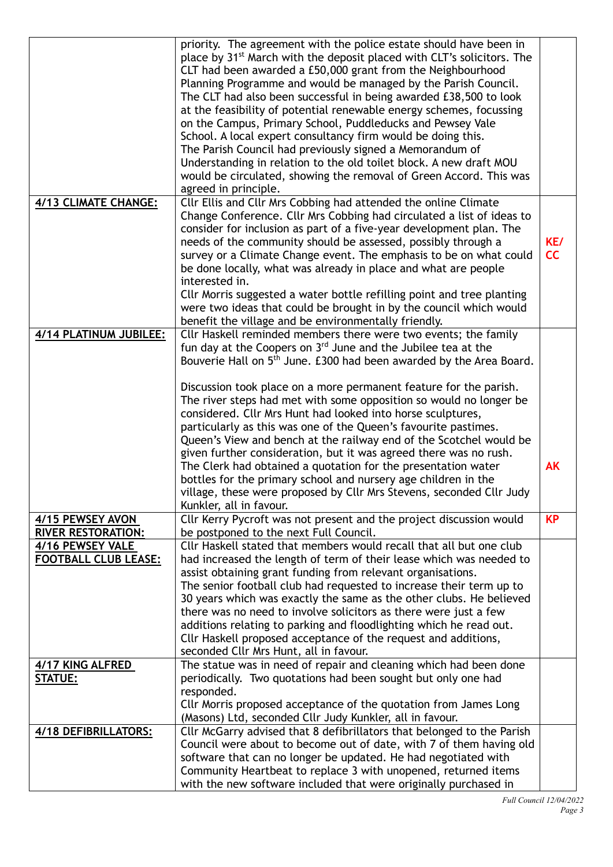|                                                 | priority. The agreement with the police estate should have been in<br>place by 31 <sup>st</sup> March with the deposit placed with CLT's solicitors. The<br>CLT had been awarded a £50,000 grant from the Neighbourhood<br>Planning Programme and would be managed by the Parish Council.<br>The CLT had also been successful in being awarded £38,500 to look<br>at the feasibility of potential renewable energy schemes, focussing<br>on the Campus, Primary School, Puddleducks and Pewsey Vale<br>School. A local expert consultancy firm would be doing this.<br>The Parish Council had previously signed a Memorandum of<br>Understanding in relation to the old toilet block. A new draft MOU<br>would be circulated, showing the removal of Green Accord. This was<br>agreed in principle.                                                                                           |           |
|-------------------------------------------------|-----------------------------------------------------------------------------------------------------------------------------------------------------------------------------------------------------------------------------------------------------------------------------------------------------------------------------------------------------------------------------------------------------------------------------------------------------------------------------------------------------------------------------------------------------------------------------------------------------------------------------------------------------------------------------------------------------------------------------------------------------------------------------------------------------------------------------------------------------------------------------------------------|-----------|
| 4/13 CLIMATE CHANGE:                            | Cllr Ellis and Cllr Mrs Cobbing had attended the online Climate<br>Change Conference. Cllr Mrs Cobbing had circulated a list of ideas to<br>consider for inclusion as part of a five-year development plan. The<br>needs of the community should be assessed, possibly through a<br>survey or a Climate Change event. The emphasis to be on what could<br>be done locally, what was already in place and what are people<br>interested in.<br>Cllr Morris suggested a water bottle refilling point and tree planting<br>were two ideas that could be brought in by the council which would<br>benefit the village and be environmentally friendly.                                                                                                                                                                                                                                            | KE/<br>cc |
| 4/14 PLATINUM JUBILEE:                          | Cllr Haskell reminded members there were two events; the family<br>fun day at the Coopers on 3 <sup>rd</sup> June and the Jubilee tea at the<br>Bouverie Hall on 5 <sup>th</sup> June. £300 had been awarded by the Area Board.<br>Discussion took place on a more permanent feature for the parish.<br>The river steps had met with some opposition so would no longer be<br>considered. Cllr Mrs Hunt had looked into horse sculptures,<br>particularly as this was one of the Queen's favourite pastimes.<br>Queen's View and bench at the railway end of the Scotchel would be<br>given further consideration, but it was agreed there was no rush.<br>The Clerk had obtained a quotation for the presentation water<br>bottles for the primary school and nursery age children in the<br>village, these were proposed by Cllr Mrs Stevens, seconded Cllr Judy<br>Kunkler, all in favour. | <b>AK</b> |
| 4/15 PEWSEY AVON<br><b>RIVER RESTORATION:</b>   | Cllr Kerry Pycroft was not present and the project discussion would<br>be postponed to the next Full Council.                                                                                                                                                                                                                                                                                                                                                                                                                                                                                                                                                                                                                                                                                                                                                                                 | <b>KP</b> |
| 4/16 PEWSEY VALE<br><b>FOOTBALL CLUB LEASE:</b> | Cllr Haskell stated that members would recall that all but one club<br>had increased the length of term of their lease which was needed to<br>assist obtaining grant funding from relevant organisations.<br>The senior football club had requested to increase their term up to<br>30 years which was exactly the same as the other clubs. He believed<br>there was no need to involve solicitors as there were just a few<br>additions relating to parking and floodlighting which he read out.<br>Cllr Haskell proposed acceptance of the request and additions,<br>seconded Cllr Mrs Hunt, all in favour.                                                                                                                                                                                                                                                                                 |           |
| 4/17 KING ALFRED<br>STATUE:                     | The statue was in need of repair and cleaning which had been done<br>periodically. Two quotations had been sought but only one had<br>responded.<br>Cllr Morris proposed acceptance of the quotation from James Long<br>(Masons) Ltd, seconded Cllr Judy Kunkler, all in favour.                                                                                                                                                                                                                                                                                                                                                                                                                                                                                                                                                                                                              |           |
| 4/18 DEFIBRILLATORS:                            | Cllr McGarry advised that 8 defibrillators that belonged to the Parish<br>Council were about to become out of date, with 7 of them having old<br>software that can no longer be updated. He had negotiated with<br>Community Heartbeat to replace 3 with unopened, returned items<br>with the new software included that were originally purchased in                                                                                                                                                                                                                                                                                                                                                                                                                                                                                                                                         |           |